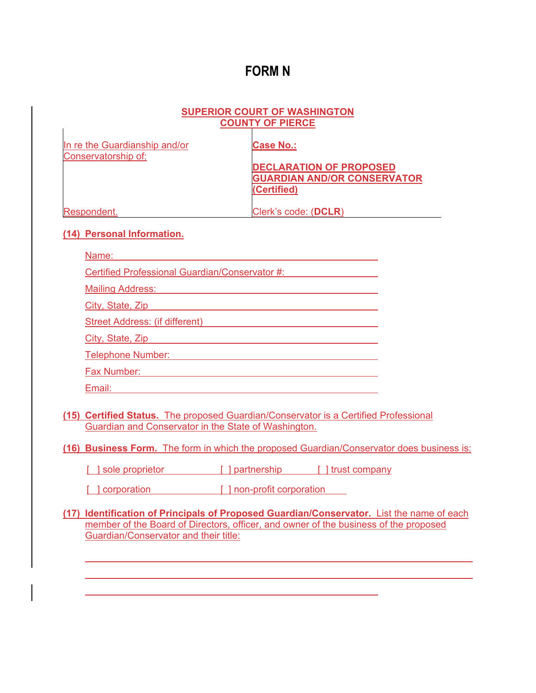# **FORM N**

| <b>SUPERIOR COURT OF WASHINGTON</b> |
|-------------------------------------|
| <b>COUNTY OF PIERCE</b>             |

In re the Guardianship and/or Conservatorship of:

Case No.:

**DECLARATION OF PROPOSED GUARDIAN AND/OR CONSERVATOR (Certified)** 

Clerk's code: (**DCLR**)

Respondent.

## **(14) Personal Information.**

Name:

Certified Professional Guardian/Conservator #:

Mailing Address:

City, State, Zip

Street Address: (if different)

City, State, Zip

Telephone Number:

Fax Number:

Email:

 $\overline{a}$ 

 $\overline{a}$ 

## **(15) Certified Status.** The proposed Guardian/Conservator is a Certified Professional Guardian and Conservator in the State of Washington.

**(16) Business Form.** The form in which the proposed Guardian/Conservator does business is:

[ ] sole proprietor [ ] partnership [ ] trust company

[ ] corporation **in T** ] non-profit corporation

#### **(17) Identification of Principals of Proposed Guardian/Conservator.** List the name of each member of the Board of Directors, officer, and owner of the business of the proposed Guardian/Conservator and their title: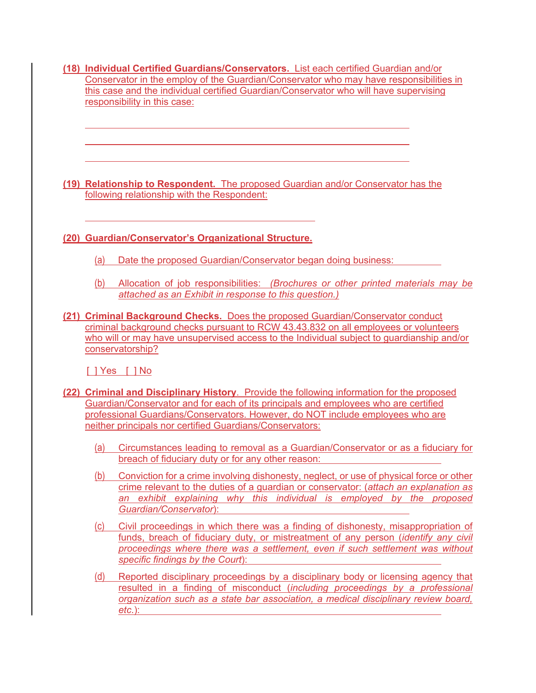|                              | (18) Individual Certified Guardians/Conservators. List each certified Guardian and/or<br>Conservator in the employ of the Guardian/Conservator who may have responsibilities in |  |  |  |  |  |
|------------------------------|---------------------------------------------------------------------------------------------------------------------------------------------------------------------------------|--|--|--|--|--|
|                              | this case and the individual certified Guardian/Conservator who will have supervising                                                                                           |  |  |  |  |  |
|                              |                                                                                                                                                                                 |  |  |  |  |  |
| responsibility in this case: |                                                                                                                                                                                 |  |  |  |  |  |
|                              |                                                                                                                                                                                 |  |  |  |  |  |
|                              |                                                                                                                                                                                 |  |  |  |  |  |
|                              |                                                                                                                                                                                 |  |  |  |  |  |
|                              |                                                                                                                                                                                 |  |  |  |  |  |
|                              |                                                                                                                                                                                 |  |  |  |  |  |
|                              | (19) Relationship to Respondent. The proposed Guardian and/or Conservator has the                                                                                               |  |  |  |  |  |
|                              | following relationship with the Respondent:                                                                                                                                     |  |  |  |  |  |
|                              |                                                                                                                                                                                 |  |  |  |  |  |
|                              |                                                                                                                                                                                 |  |  |  |  |  |
|                              |                                                                                                                                                                                 |  |  |  |  |  |
|                              | (20) Guardian/Conservator's Organizational Structure.                                                                                                                           |  |  |  |  |  |
|                              |                                                                                                                                                                                 |  |  |  |  |  |
| (a)                          | Date the proposed Guardian/Conservator began doing business:                                                                                                                    |  |  |  |  |  |
|                              |                                                                                                                                                                                 |  |  |  |  |  |
| (b)                          | Allocation of job responsibilities: (Brochures or other printed materials may be                                                                                                |  |  |  |  |  |
|                              | attached as an Exhibit in response to this question.)                                                                                                                           |  |  |  |  |  |
|                              |                                                                                                                                                                                 |  |  |  |  |  |
|                              | (21) Criminal Background Checks. Does the proposed Guardian/Conservator conduct                                                                                                 |  |  |  |  |  |
|                              | criminal background checks pursuant to RCW 43.43.832 on all employees or volunteers                                                                                             |  |  |  |  |  |
|                              | who will or may have unsupervised access to the Individual subject to guardianship and/or                                                                                       |  |  |  |  |  |
|                              | conservatorship?                                                                                                                                                                |  |  |  |  |  |
|                              |                                                                                                                                                                                 |  |  |  |  |  |
|                              |                                                                                                                                                                                 |  |  |  |  |  |
|                              |                                                                                                                                                                                 |  |  |  |  |  |
|                              | (22) Criminal and Disciplinary History. Provide the following information for the proposed                                                                                      |  |  |  |  |  |
|                              | Guardian/Conservator and for each of its principals and employees who are certified                                                                                             |  |  |  |  |  |
|                              | professional Guardians/Conservators. However, do NOT include employees who are                                                                                                  |  |  |  |  |  |
|                              | neither principals nor certified Guardians/Conservators:                                                                                                                        |  |  |  |  |  |
|                              |                                                                                                                                                                                 |  |  |  |  |  |
| <u>(a)</u>                   | Circumstances leading to removal as a Guardian/Conservator or as a fiduciary for                                                                                                |  |  |  |  |  |
|                              | breach of fiduciary duty or for any other reason:                                                                                                                               |  |  |  |  |  |
| (b)                          | Conviction for a crime involving dishonesty, neglect, or use of physical force or other                                                                                         |  |  |  |  |  |
|                              | crime relevant to the duties of a guardian or conservator: (attach an explanation as                                                                                            |  |  |  |  |  |
|                              | an exhibit explaining why this individual is employed by the proposed                                                                                                           |  |  |  |  |  |
|                              | Guardian/Conservator):                                                                                                                                                          |  |  |  |  |  |
|                              |                                                                                                                                                                                 |  |  |  |  |  |
| <u>(c)</u>                   | Civil proceedings in which there was a finding of dishonesty, misappropriation of                                                                                               |  |  |  |  |  |
|                              | funds, breach of fiduciary duty, or mistreatment of any person (identify any civil                                                                                              |  |  |  |  |  |
|                              | proceedings where there was a settlement, even if such settlement was without                                                                                                   |  |  |  |  |  |
|                              | specific findings by the Court):                                                                                                                                                |  |  |  |  |  |
|                              |                                                                                                                                                                                 |  |  |  |  |  |
| (d)                          | Reported disciplinary proceedings by a disciplinary body or licensing agency that                                                                                               |  |  |  |  |  |
|                              | resulted in a finding of misconduct <i>(including proceedings by a professional</i>                                                                                             |  |  |  |  |  |
|                              | organization such as a state bar association, a medical disciplinary review board,                                                                                              |  |  |  |  |  |
|                              | <u>etc.):</u>                                                                                                                                                                   |  |  |  |  |  |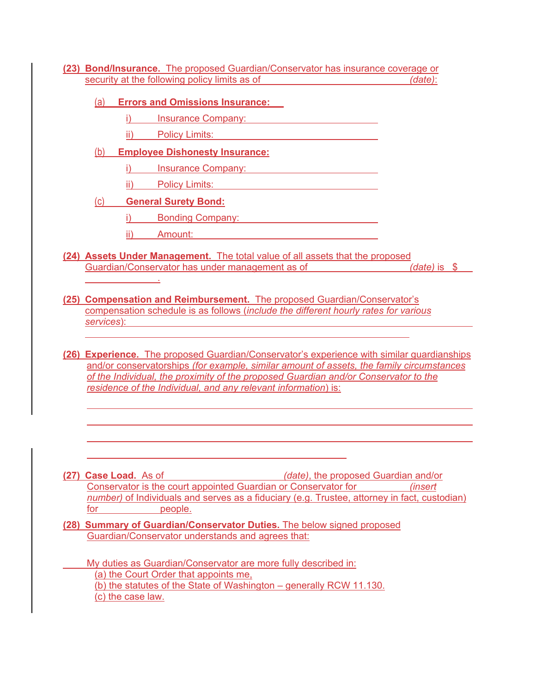| (23) Bond/Insurance. The proposed Guardian/Conservator has insurance coverage or |            |
|----------------------------------------------------------------------------------|------------|
| security at the following policy limits as of                                    | $(date)$ : |
|                                                                                  |            |
| <b>Errors and Omissions Insurance:</b>                                           |            |

- i) Insurance Company:
- ii) Policy Limits:

#### (b) **Employee Dishonesty Insurance:**

- i) Insurance Company:
- ii) Policy Limits:

#### (c) **General Surety Bond:**

- i) Bonding Company:
- ii) Amount:

.

 $\overline{a}$ 

 $\overline{a}$ 

 $\overline{a}$ 

- **(24) Assets Under Management.** The total value of all assets that the proposed Guardian/Conservator has under management as of *(date)* is \$
- **(25) Compensation and Reimbursement.** The proposed Guardian/Conservator's compensation schedule is as follows (*include the different hourly rates for various services*):
- **(26) Experience.** The proposed Guardian/Conservator's experience with similar guardianships and/or conservatorships *(for example, similar amount of assets, the family circumstances of the Individual, the proximity of the proposed Guardian and/or Conservator to the residence of the Individual, and any relevant information*) is:

- **(27) Case Load.** As of *(date)*, the proposed Guardian and/or Conservator is the court appointed Guardian or Conservator for *(insert number)* of Individuals and serves as a fiduciary (e.g. Trustee, attorney in fact, custodian) for people.
- **(28) Summary of Guardian/Conservator Duties.** The below signed proposed Guardian/Conservator understands and agrees that:

 My duties as Guardian/Conservator are more fully described in: (a) the Court Order that appoints me, (b) the statutes of the State of Washington – generally RCW 11.130. (c) the case law.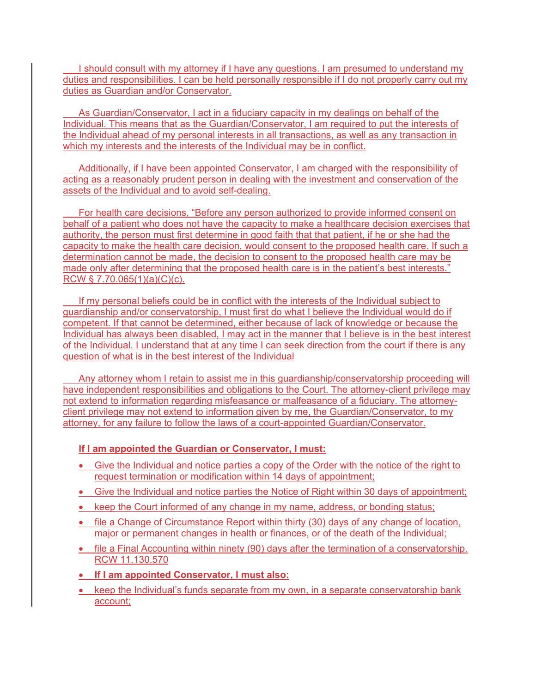I should consult with my attorney if I have any questions. I am presumed to understand my duties and responsibilities. I can be held personally responsible if I do not properly carry out my duties as Guardian and/or Conservator.

 As Guardian/Conservator, I act in a fiduciary capacity in my dealings on behalf of the Individual. This means that as the Guardian/Conservator, I am required to put the interests of the Individual ahead of my personal interests in all transactions, as well as any transaction in which my interests and the interests of the Individual may be in conflict.

 Additionally, if I have been appointed Conservator, I am charged with the responsibility of acting as a reasonably prudent person in dealing with the investment and conservation of the assets of the Individual and to avoid self-dealing.

 For health care decisions, "Before any person authorized to provide informed consent on behalf of a patient who does not have the capacity to make a healthcare decision exercises that authority, the person must first determine in good faith that that patient, if he or she had the capacity to make the health care decision, would consent to the proposed health care. If such a determination cannot be made, the decision to consent to the proposed health care may be made only after determining that the proposed health care is in the patient's best interests." RCW § 7.70.065(1)(a)(C)(c).

 If my personal beliefs could be in conflict with the interests of the Individual subject to guardianship and/or conservatorship, I must first do what I believe the Individual would do if competent. If that cannot be determined, either because of lack of knowledge or because the Individual has always been disabled, I may act in the manner that I believe is in the best interest of the Individual. I understand that at any time I can seek direction from the court if there is any question of what is in the best interest of the Individual

 Any attorney whom I retain to assist me in this guardianship/conservatorship proceeding will have independent responsibilities and obligations to the Court. The attorney-client privilege may not extend to information regarding misfeasance or malfeasance of a fiduciary. The attorneyclient privilege may not extend to information given by me, the Guardian/Conservator, to my attorney, for any failure to follow the laws of a court-appointed Guardian/Conservator.

## **If I am appointed the Guardian or Conservator, I must:**

- Give the Individual and notice parties a copy of the Order with the notice of the right to request termination or modification within 14 days of appointment;
- Give the Individual and notice parties the Notice of Right within 30 days of appointment;
- keep the Court informed of any change in my name, address, or bonding status;
- file a Change of Circumstance Report within thirty (30) days of any change of location, major or permanent changes in health or finances, or of the death of the Individual;
- **file a Final Accounting within ninety (90) days after the termination of a conservatorship.** RCW 11.130.570
- **If I am appointed Conservator, I must also:**
- keep the Individual's funds separate from my own, in a separate conservatorship bank account;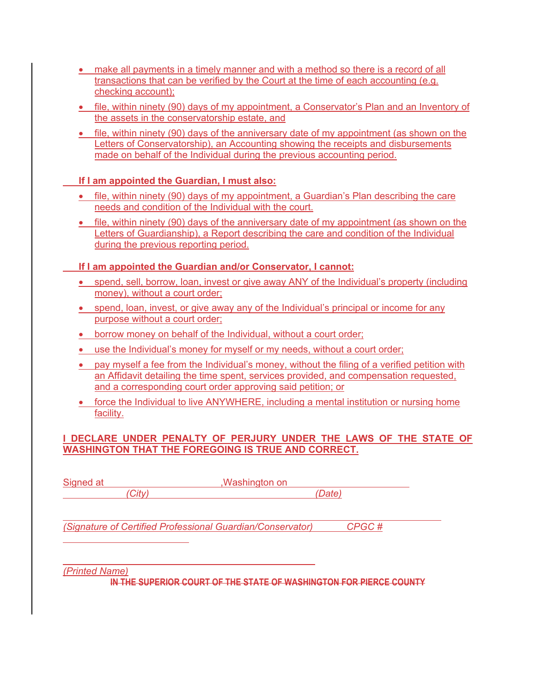- make all payments in a timely manner and with a method so there is a record of all transactions that can be verified by the Court at the time of each accounting (e.g. checking account);
- file, within ninety (90) days of my appointment, a Conservator's Plan and an Inventory of the assets in the conservatorship estate, and
- file, within ninety (90) days of the anniversary date of my appointment (as shown on the Letters of Conservatorship), an Accounting showing the receipts and disbursements made on behalf of the Individual during the previous accounting period.

## **If I am appointed the Guardian, I must also:**

- file, within ninety (90) days of my appointment, a Guardian's Plan describing the care needs and condition of the Individual with the court.
- file, within ninety (90) days of the anniversary date of my appointment (as shown on the Letters of Guardianship), a Report describing the care and condition of the Individual during the previous reporting period.

 **If I am appointed the Guardian and/or Conservator, I cannot:** 

- spend, sell, borrow, loan, invest or give away ANY of the Individual's property (including money), without a court order;
- spend, loan, invest, or give away any of the Individual's principal or income for any purpose without a court order;
- borrow money on behalf of the Individual, without a court order;
- use the Individual's money for myself or my needs, without a court order;
- pay myself a fee from the Individual's money, without the filing of a verified petition with an Affidavit detailing the time spent, services provided, and compensation requested, and a corresponding court order approving said petition; or
- force the Individual to live ANYWHERE, including a mental institution or nursing home facility.

## **I DECLARE UNDER PENALTY OF PERJURY UNDER THE LAWS OF THE STATE OF WASHINGTON THAT THE FOREGOING IS TRUE AND CORRECT.**

Signed at , Washington on

 $\overline{a}$ 

*(City) (Date)* 

*(Signature of Certified Professional Guardian/Conservator) CPGC #* 

 $\overline{a}$ *(Printed Name)* 

**IN THE SUPERIOR COURT OF THE STATE OF WASHINGTON FOR PIERCE COUNTY**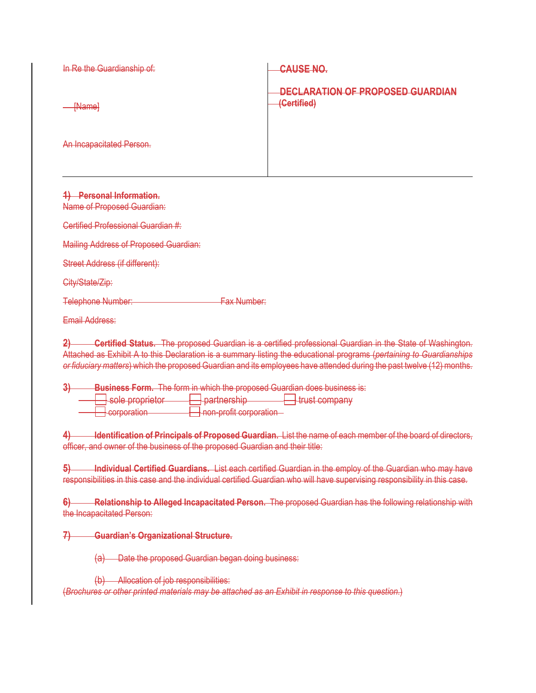| In Re the Guardianship of:                                                                                                                                                                                                                                                                                                                                              | <b>CAUSE NO.</b>                                       |  |  |  |
|-------------------------------------------------------------------------------------------------------------------------------------------------------------------------------------------------------------------------------------------------------------------------------------------------------------------------------------------------------------------------|--------------------------------------------------------|--|--|--|
| [Name]                                                                                                                                                                                                                                                                                                                                                                  | <b>DECLARATION OF PROPOSED GUARDIAN</b><br>(Certified) |  |  |  |
| An Incapacitated Person.                                                                                                                                                                                                                                                                                                                                                |                                                        |  |  |  |
| 4) Personal Information.<br><b>Name of Proposed Guardian:</b>                                                                                                                                                                                                                                                                                                           |                                                        |  |  |  |
| Certified Professional Guardian #:                                                                                                                                                                                                                                                                                                                                      |                                                        |  |  |  |
| Mailing Address of Proposed Guardian:                                                                                                                                                                                                                                                                                                                                   |                                                        |  |  |  |
| Street Address (if different):                                                                                                                                                                                                                                                                                                                                          |                                                        |  |  |  |
| City/State/Zip:                                                                                                                                                                                                                                                                                                                                                         |                                                        |  |  |  |
| Telephone Number:<br><b>Fax Number:</b>                                                                                                                                                                                                                                                                                                                                 |                                                        |  |  |  |
| Email Address:                                                                                                                                                                                                                                                                                                                                                          |                                                        |  |  |  |
| <b>Certified Status.</b> The proposed Guardian is a certified professional Guardian in the State of Washington.<br>2).<br>Attached as Exhibit A to this Declaration is a summary listing the educational programs (pertaining to Guardianships<br>or fiduciary matters) which the proposed Guardian and its employees have attended during the past twelve (12) months. |                                                        |  |  |  |
| Business Form. The form in which the proposed Guardian does business is:<br>3 <sup>1</sup>                                                                                                                                                                                                                                                                              |                                                        |  |  |  |
| corporation <b>community</b> non-profit corporation                                                                                                                                                                                                                                                                                                                     |                                                        |  |  |  |
| 4) Identification of Principals of Proposed Guardian. List the name of each member of the board of directors,<br>officer, and owner of the business of the proposed Guardian and their title:                                                                                                                                                                           |                                                        |  |  |  |
| Individual Certified Guardians. List each certified Guardian in the employ of the Guardian who may have<br>5 <sup>1</sup><br>responsibilities in this case and the individual certified Guardian who will have supervising responsibility in this case.                                                                                                                 |                                                        |  |  |  |
| Relationship to Alleged Incapacitated Person. The proposed Guardian has the following relationship with<br>6<br>the Incapacitated Person:                                                                                                                                                                                                                               |                                                        |  |  |  |
| <b>Guardian's Organizational Structure.</b><br>7)                                                                                                                                                                                                                                                                                                                       |                                                        |  |  |  |
| <b>Date the proposed Guardian began doing business:</b><br>$\Theta$                                                                                                                                                                                                                                                                                                     |                                                        |  |  |  |

(b) Allocation of job responsibilities: (*Brochures or other printed materials may be attached as an Exhibit in response to this question*.)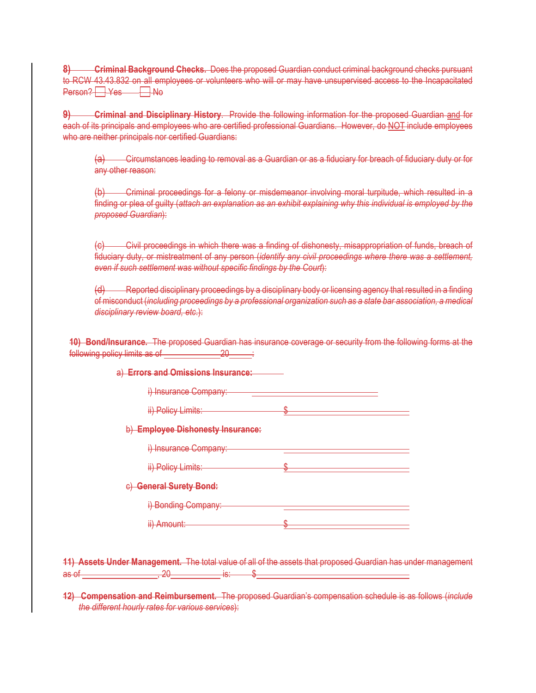**8) Criminal Background Checks.** Does the proposed Guardian conduct criminal background checks pursuant to RCW 43.43.832 on all employees or volunteers who will or may have unsupervised access to the Incapacitated Person? Yes Report

**9) Criminal and Disciplinary History**. Provide the following information for the proposed Guardian and for each of its principals and employees who are certified professional Guardians. However, do NOT include employees who are neither principals nor certified Guardians:

(a) Circumstances leading to removal as a Guardian or as a fiduciary for breach of fiduciary duty or for any other reason:

Criminal proceedings for a felony or misdemeanor involving moral turpitude, which resulted in a finding or plea of guilty (*attach an explanation as an exhibit explaining why this individual is employed by the proposed Guardian*):

(c) Civil proceedings in which there was a finding of dishonesty, misappropriation of funds, breach of fiduciary duty, or mistreatment of any person (*identify any civil proceedings where there was a settlement, even if such settlement was without specific findings by the Court*):

(d) Reported disciplinary proceedings by a disciplinary body or licensing agency that resulted in a finding of misconduct (*including proceedings by a professional organization such as a state bar association, a medical disciplinary review board, etc*.):

**10) Bond/Insurance.** The proposed Guardian has insurance coverage or security from the following forms at the following policy limits as of 20 :

| <b>Errors and Omissions Insurance:</b><br>a۱   |   |
|------------------------------------------------|---|
| i) Insurance Company:                          |   |
| ii) Policy Limits:                             | w |
| b) Employee Dishonesty Insurance:              |   |
| i) Insurance Company:                          |   |
| ii) Policy Limits:                             | w |
| <b>General Surety Bond:</b><br>e)              |   |
| i) Bonding Company:                            |   |
| <u>Amount</u><br>ш١<br><del>ii) Ainount.</del> |   |

**11) Assets Under Management.** The total value of all of the assets that proposed Guardian has under management as of \_\_\_\_\_\_\_\_\_\_\_\_\_\_\_\_\_\_\_, 20\_\_\_\_\_\_\_\_\_\_\_\_\_\_ is: \$\_

**12) Compensation and Reimbursement.** The proposed Guardian's compensation schedule is as follows (*include the different hourly rates for various services*):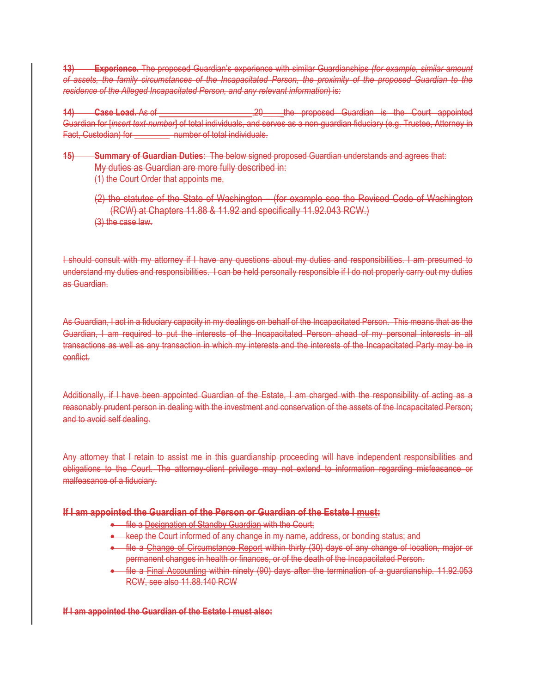**13) Experience.** The proposed Guardian's experience with similar Guardianships *(for example, similar amount of assets, the family circumstances of the Incapacitated Person, the proximity of the proposed Guardian to the residence of the Alleged Incapacitated Person, and any relevant information*) is:

**14) Case Load.** As of *Case Load.* As of *Court appointed neuronal appointed court appointed* Guardian for [*insert text-number*] of total individuals, and serves as a non-guardian fiduciary (e.g. Trustee, Attorney in Fact, Custodian) for \_\_\_\_\_\_\_\_\_ number of total individuals.

- **15) Summary of Guardian Duties**: The below signed proposed Guardian understands and agrees that: My duties as Guardian are more fully described in: (1) the Court Order that appoints me,
	- (2) the statutes of the State of Washington (for example see the Revised Code of Washington (RCW) at Chapters 11.88 & 11.92 and specifically 11.92.043 RCW.) (3) the case law.

I should consult with my attorney if I have any questions about my duties and responsibilities. I am presumed to understand my duties and responsibilities. I can be held personally responsible if I do not properly carry out my duties as Guardian.

As Guardian, I act in a fiduciary capacity in my dealings on behalf of the Incapacitated Person. This means that as the Guardian, I am required to put the interests of the Incapacitated Person ahead of my personal interests in all transactions as well as any transaction in which my interests and the interests of the Incapacitated Party may be in conflict.

Additionally, if I have been appointed Guardian of the Estate, I am charged with the responsibility of acting as a reasonably prudent person in dealing with the investment and conservation of the assets of the Incapacitated Person; and to avoid self dealing.

Any attorney that I retain to assist me in this guardianship proceeding will have independent responsibilities and obligations to the Court. The attorney-client privilege may not extend to information regarding misfeasance or malfeasance of a fiduciary.

#### **If I am appointed the Guardian of the Person or Guardian of the Estate I must:**

- **file a Designation of Standby Guardian with the Court;**
- keep the Court informed of any change in my name, address, or bonding status; and
- file a Change of Circumstance Report within thirty (30) days of any change of location, major or permanent changes in health or finances, or of the death of the Incapacitated Person.
- file a Final Accounting within ninety (90) days after the termination of a guardianship. 11.92.053 RCW, see also 11.88.140 RCW

**If I am appointed the Guardian of the Estate I must also:**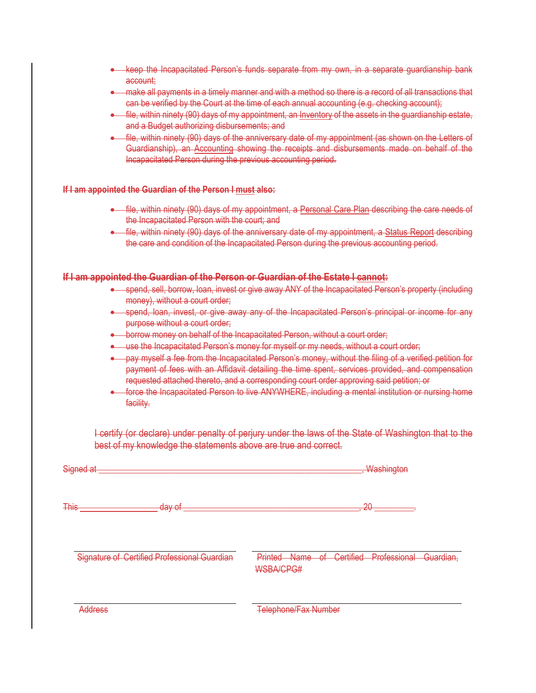| keen the Incanacitated Person's funds senarate from my own in a senarate quardianship hank              |  |  |  |  |
|---------------------------------------------------------------------------------------------------------|--|--|--|--|
| <del>. Accep are moupuonated tronomic nanue copulate from my own, in a copulate guaralamente bank</del> |  |  |  |  |
| account:                                                                                                |  |  |  |  |

- make all payments in a timely manner and with a method so there is a record of all transactions that can be verified by the Court at the time of each annual accounting (e.g. checking account);
- file, within ninety (90) days of my appointment, an Inventory of the assets in the quardianship estate, and a Budget authorizing disbursements; and
- file, within ninety (90) days of the anniversary date of my appointment (as shown on the Letters of Guardianship), an Accounting showing the receipts and disbursements made on behalf of the Incapacitated Person during the previous accounting period.

#### **If I am appointed the Guardian of the Person I must also:**

- file, within ninety (90) days of my appointment, a Personal Care Plan describing the care needs of the Incapacitated Person with the court; and
- file, within ninety (90) days of the anniversary date of my appointment, a Status Report describing the care and condition of the Incapacitated Person during the previous accounting period.

#### **If I am appointed the Guardian of the Person or Guardian of the Estate I cannot:**

- spend, sell, borrow, loan, invest or give away ANY of the Incapacitated Person's property (including money), without a court order;
- spend, loan, invest, or give away any of the Incapacitated Person's principal or income for any purpose without a court order;
- **.** borrow money on behalf of the Incapacitated Person, without a court order:
- use the Incapacitated Person's money for myself or my needs, without a court order;
- pay myself a fee from the Incapacitated Person's money, without the filing of a verified petition for payment of fees with an Affidavit detailing the time spent, services provided, and compensation requested attached thereto, and a corresponding court order approving said petition; or
- **•** force the Incapacitated Person to live ANYWHERE, including a mental institution or nursing home facility.

I certify (or declare) under penalty of perjury under the laws of the State of Washington that to the best of my knowledge the statements above are true and correct.

| Signed at                                    | Washington                                                                                 |  |  |  |  |
|----------------------------------------------|--------------------------------------------------------------------------------------------|--|--|--|--|
| <b>This</b><br>day of                        | 20                                                                                         |  |  |  |  |
| Signature of Certified Professional Guardian | <b>Certified</b><br>Professional<br>Name<br>Guardian,<br>Printed<br>əŧ<br><b>WSBA/CPG#</b> |  |  |  |  |
| <b>Address</b>                               | <b>Telephone/Fax Number</b>                                                                |  |  |  |  |